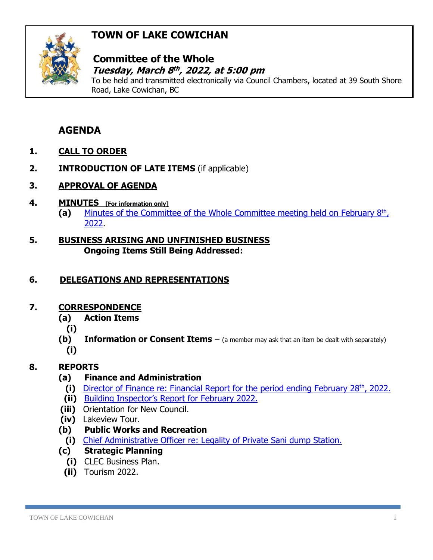# **TOWN OF LAKE COWICHAN**



### **Committee of the Whole**  *Tuesday, March 8<sup>th</sup>, 2022, at 5:00 pm*

To be held and transmitted electronically via Council Chambers, located at 39 South Shore Road, Lake Cowichan, BC

## **AGENDA**

- **1. CALL TO ORDER**
- **2. INTRODUCTION OF LATE ITEMS** (if applicable)
- **3. APPROVAL OF AGENDA**
- **4. MINUTES [For information only]**
	- (a) [Minutes of the Committee of the Whole Committee meeting held on February 8](http://www.lakecowichan.ca/dl/22-02-08CW.pdf)<sup>th</sup>, [2022.](http://www.lakecowichan.ca/dl/22-02-08CW.pdf)
- **5. BUSINESS ARISING AND UNFINISHED BUSINESS Ongoing Items Still Being Addressed:**

### **6. DELEGATIONS AND REPRESENTATIONS**

#### **7. CORRESPONDENCE**

- **(a) Action Items**
	- **(i)**
- **(b) Information or Consent Items** (a member may ask that an item be dealt with separately) **(i)**

### **8. REPORTS**

- **(a) Finance and Administration**
	- (i) [Director of Finance re: Financial Report for the period ending February 28](http://www.lakecowichan.ca/dl/finfeb22.pdf)<sup>th</sup>, 2022.
	- **(ii)** [Building Inspector's Report for](http://www.lakecowichan.ca/dl/BIFEB22.pdf) February 2022.
- **(iii)** Orientation for New Council.
- **(iv)** Lakeview Tour.
- **(b) Public Works and Recreation**
- **(i)** Chief Administrative Officer [re: Legality of Private Sani dump Station.](http://www.lakecowichan.ca/dl/caoprivatesanistation.pdf)
- **(c) Strategic Planning**
	- **(i)** CLEC Business Plan.
	- **(ii)** Tourism 2022.